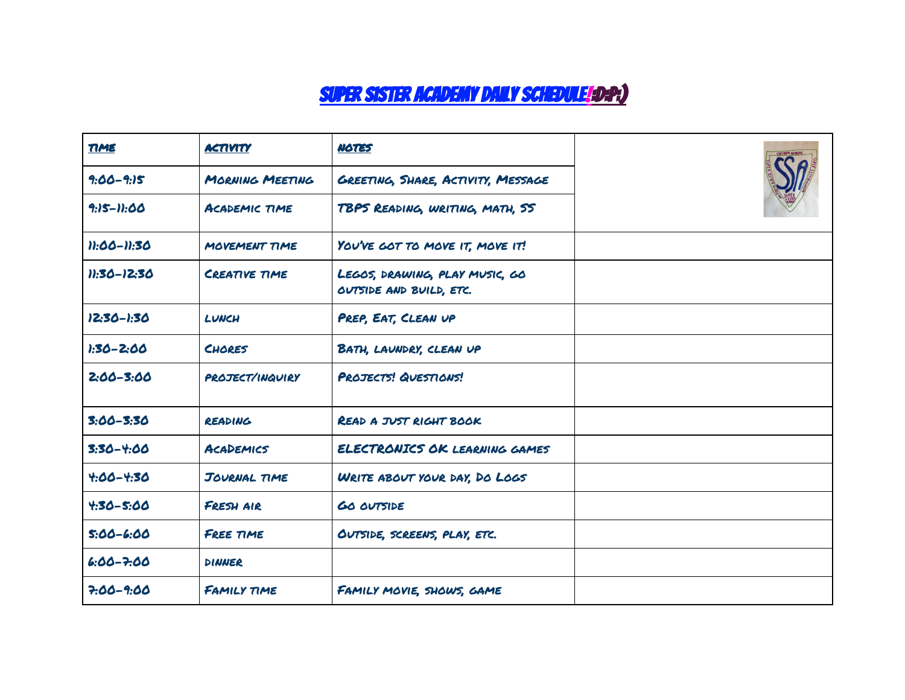## Super Sister academy daily SCHEDULE!:D:P:)

| TIME          | <b>ACTIVITY</b>        | <b>NOTES</b>                                              |  |
|---------------|------------------------|-----------------------------------------------------------|--|
| $9:00 - 9:15$ | MORNING MEETING        | GREETING, SHARE, ACTIVITY, MESSAGE                        |  |
| 9:15-11:00    | ACADEMIC TIME          | TBPS READING, WRITING, MATH, SS                           |  |
| 11:00-11:30   | MOVEMENT TIME          | YOU'VE GOT TO MOVE IT, MOVE IT!                           |  |
| 11:30-12:30   | <b>CREATIVE TIME</b>   | LEGOS, DRAWING, PLAY MUSIC, GO<br>OUTSIDE AND BUILD, ETC. |  |
| 12:30-1:30    | LUNCH                  | PREP, EAT, CLEAN UP                                       |  |
| $1:30 - 2:00$ | <b>CHORES</b>          | BATH, LAUNDRY, CLEAN UP                                   |  |
| $2:00 - 3:00$ | <b>PROJECT/INQUIRY</b> | PROJECTS! QUESTIONS!                                      |  |
| $3:00 - 3:30$ | READING                | <b>READ A JUST RIGHT BOOK</b>                             |  |
| $3:30 - 4:00$ | <b>ACADEMICS</b>       | ELECTRONICS OK LEARNING GAMES                             |  |
| $4.00 - 4.30$ | JOURNAL TIME           | WRITE ABOUT YOUR DAY, DO LOGS                             |  |
| $4.30 - 5.00$ | FRESH AIR              | <b>GO OUTSIDE</b>                                         |  |
| $5:00 - 6:00$ | FREE TIME              | OUTSIDE, SCREENS, PLAY, ETC.                              |  |
| $6:00 - 7:00$ | DINNER                 |                                                           |  |
| $7.00 - 9.00$ | FAMILY TIME            | FAMILY MOVIE, SHOWS, GAME                                 |  |